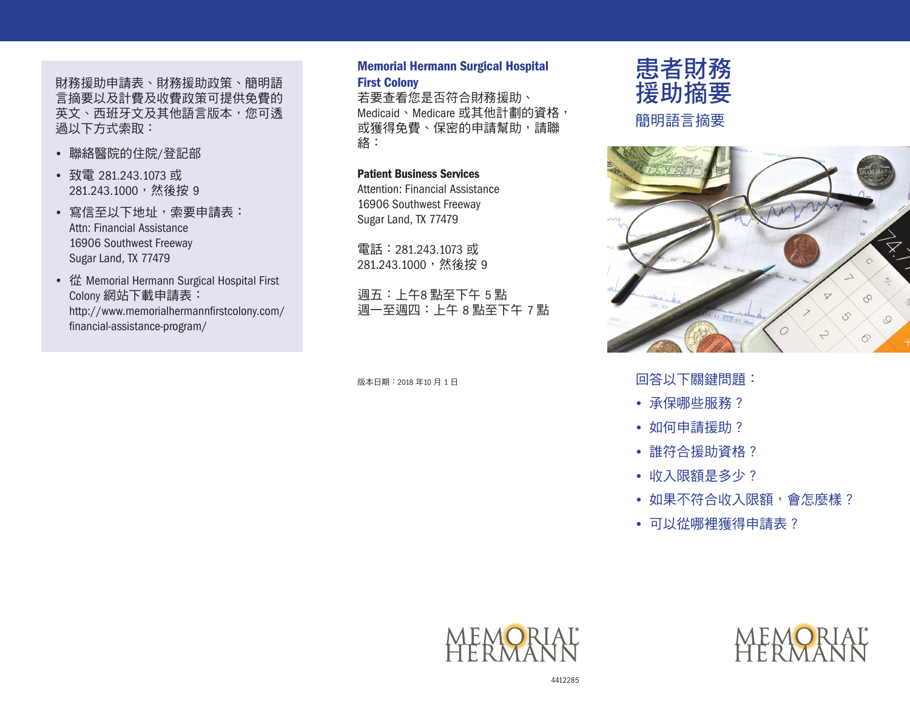財務援助申請表、財務援助政策、簡明語 言摘要以及計費及收費政策可提供免費的 英文、西班牙文及其他語言版本,您可透 過以下方式索取:

- • 聯絡醫院的住院/登記部
- • 致電 281.243.1073 或 281.243.1000,然後按 9
- 寫信至以下地址,索要申請表: Attn: Financial Assistance 16906 Southwest Freeway Sugar Land, TX 77479
- • 從 Memorial Hermann Surgical Hospital First Colony 網站下載申請表: [http://www.memorialhermannfirstcolony.com/](http://www.memorialhermannfirstcolony.com/financial-assistance-program/) [financial-assistance-program/](http://www.memorialhermannfirstcolony.com/financial-assistance-program/)

### Memorial Hermann Surgical Hospital First Colony

若要查看您是否符合財務援助、 Medicaid、Medicare 或其他計劃的資格, 或獲得免費、保密的申請幫助,請聯 絡:

### Patient Business Services

Attention: Financial Assistance 16906 Southwest Freeway Sugar Land, TX 77479

電話:281.243.1073 或 281.243.1000,然後按 9

週五:上午8 點至下午 5 點 週一至週四:上午 8 點至下午 7 點

版本日期:2018 年10 月 1 日



簡明語言摘要



回答以下關鍵問題:

- 承保哪些服務?
- 如何申請援助?
- 誰符合援助資格?
- 收入限額是多少?
- 如果不符合收入限額,會怎麼樣?
- 可以從哪裡獲得申請表?